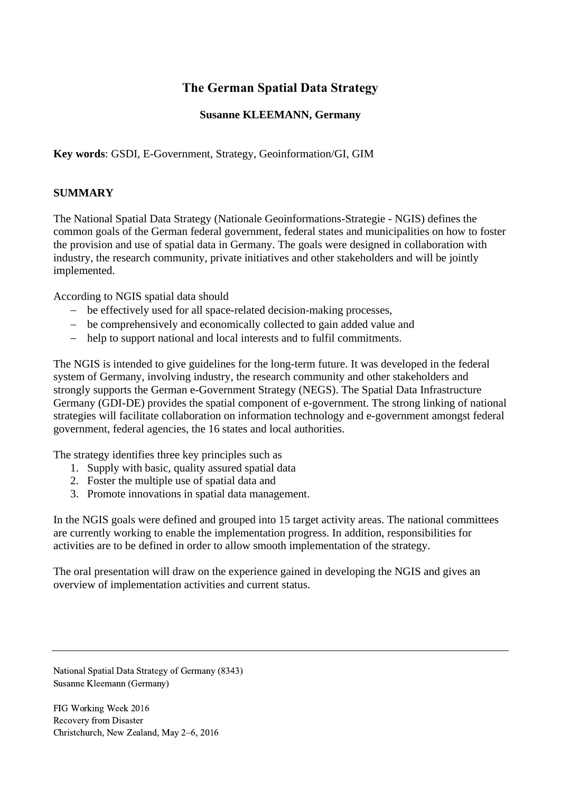# **The German Spatial Data Strategy**

## **Susanne KLEEMANN, Germany**

**Key words**: GSDI, E-Government, Strategy, Geoinformation/GI, GIM

## **SUMMARY**

The National Spatial Data Strategy (Nationale Geoinformations-Strategie - NGIS) defines the common goals of the German federal government, federal states and municipalities on how to foster the provision and use of spatial data in Germany. The goals were designed in collaboration with industry, the research community, private initiatives and other stakeholders and will be jointly implemented.

According to NGIS spatial data should

- be effectively used for all space-related decision-making processes,
- be comprehensively and economically collected to gain added value and
- help to support national and local interests and to fulfil commitments.

The NGIS is intended to give guidelines for the long-term future. It was developed in the federal system of Germany, involving industry, the research community and other stakeholders and strongly supports the German e-Government Strategy (NEGS). The Spatial Data Infrastructure Germany (GDI-DE) provides the spatial component of e-government. The strong linking of national strategies will facilitate collaboration on information technology and e-government amongst federal government, federal agencies, the 16 states and local authorities.

The strategy identifies three key principles such as

- 1. Supply with basic, quality assured spatial data
- 2. Foster the multiple use of spatial data and
- 3. Promote innovations in spatial data management.

In the NGIS goals were defined and grouped into 15 target activity areas. The national committees are currently working to enable the implementation progress. In addition, responsibilities for activities are to be defined in order to allow smooth implementation of the strategy.

The oral presentation will draw on the experience gained in developing the NGIS and gives an overview of implementation activities and current status.

National Spatial Data Strategy of Germany (8343) Susanne Kleemann (Germany)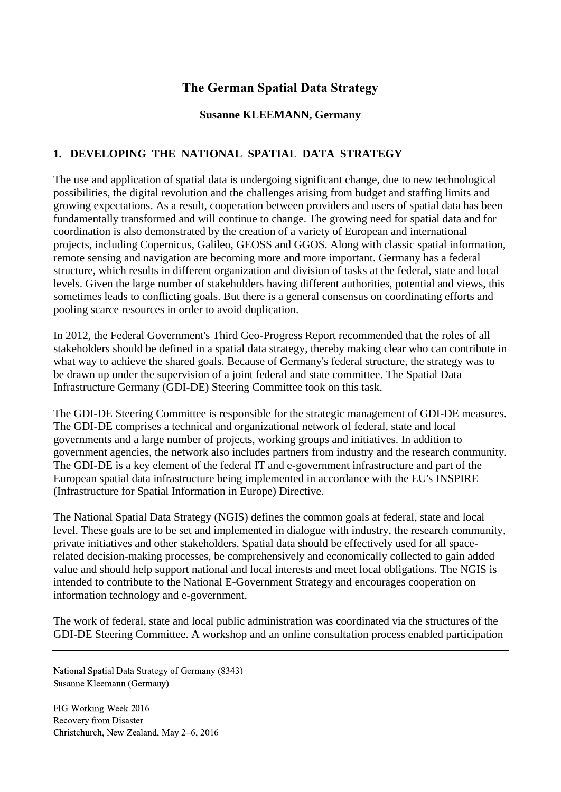# **The German Spatial Data Strategy**

### **Susanne KLEEMANN, Germany**

# **1. DEVELOPING THE NATIONAL SPATIAL DATA STRATEGY**

The use and application of spatial data is undergoing significant change, due to new technological possibilities, the digital revolution and the challenges arising from budget and staffing limits and growing expectations. As a result, cooperation between providers and users of spatial data has been fundamentally transformed and will continue to change. The growing need for spatial data and for coordination is also demonstrated by the creation of a variety of European and international projects, including Copernicus, Galileo, GEOSS and GGOS. Along with classic spatial information, remote sensing and navigation are becoming more and more important. Germany has a federal structure, which results in different organization and division of tasks at the federal, state and local levels. Given the large number of stakeholders having different authorities, potential and views, this sometimes leads to conflicting goals. But there is a general consensus on coordinating efforts and pooling scarce resources in order to avoid duplication.

In 2012, the Federal Government's Third Geo-Progress Report recommended that the roles of all stakeholders should be defined in a spatial data strategy, thereby making clear who can contribute in what way to achieve the shared goals. Because of Germany's federal structure, the strategy was to be drawn up under the supervision of a joint federal and state committee. The Spatial Data Infrastructure Germany (GDI-DE) Steering Committee took on this task.

The GDI-DE Steering Committee is responsible for the strategic management of GDI-DE measures. The GDI-DE comprises a technical and organizational network of federal, state and local governments and a large number of projects, working groups and initiatives. In addition to government agencies, the network also includes partners from industry and the research community. The GDI-DE is a key element of the federal IT and e-government infrastructure and part of the European spatial data infrastructure being implemented in accordance with the EU's INSPIRE (Infrastructure for Spatial Information in Europe) Directive.

The National Spatial Data Strategy (NGIS) defines the common goals at federal, state and local level. These goals are to be set and implemented in dialogue with industry, the research community, private initiatives and other stakeholders. Spatial data should be effectively used for all spacerelated decision-making processes, be comprehensively and economically collected to gain added value and should help support national and local interests and meet local obligations. The NGIS is intended to contribute to the National E-Government Strategy and encourages cooperation on information technology and e-government.

The work of federal, state and local public administration was coordinated via the structures of the GDI-DE Steering Committee. A workshop and an online consultation process enabled participation

National Spatial Data Strategy of Germany (8343) Susanne Kleemann (Germany)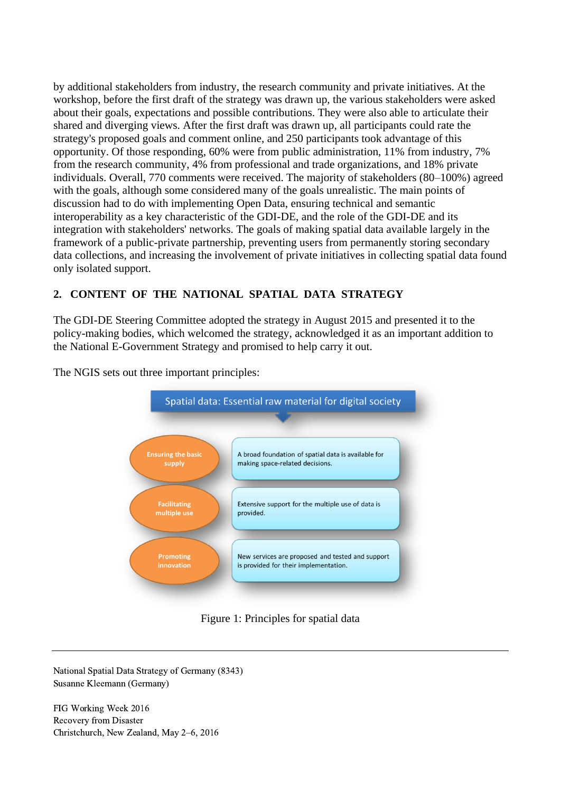by additional stakeholders from industry, the research community and private initiatives. At the workshop, before the first draft of the strategy was drawn up, the various stakeholders were asked about their goals, expectations and possible contributions. They were also able to articulate their shared and diverging views. After the first draft was drawn up, all participants could rate the strategy's proposed goals and comment online, and 250 participants took advantage of this opportunity. Of those responding, 60% were from public administration, 11% from industry, 7% from the research community, 4% from professional and trade organizations, and 18% private individuals. Overall, 770 comments were received. The majority of stakeholders (80–100%) agreed with the goals, although some considered many of the goals unrealistic. The main points of discussion had to do with implementing Open Data, ensuring technical and semantic interoperability as a key characteristic of the GDI-DE, and the role of the GDI-DE and its integration with stakeholders' networks. The goals of making spatial data available largely in the framework of a public-private partnership, preventing users from permanently storing secondary data collections, and increasing the involvement of private initiatives in collecting spatial data found only isolated support.

## **2. CONTENT OF THE NATIONAL SPATIAL DATA STRATEGY**

The GDI-DE Steering Committee adopted the strategy in August 2015 and presented it to the policy-making bodies, which welcomed the strategy, acknowledged it as an important addition to the National E-Government Strategy and promised to help carry it out.

The NGIS sets out three important principles:



Figure 1: Principles for spatial data

National Spatial Data Strategy of Germany (8343) Susanne Kleemann (Germany)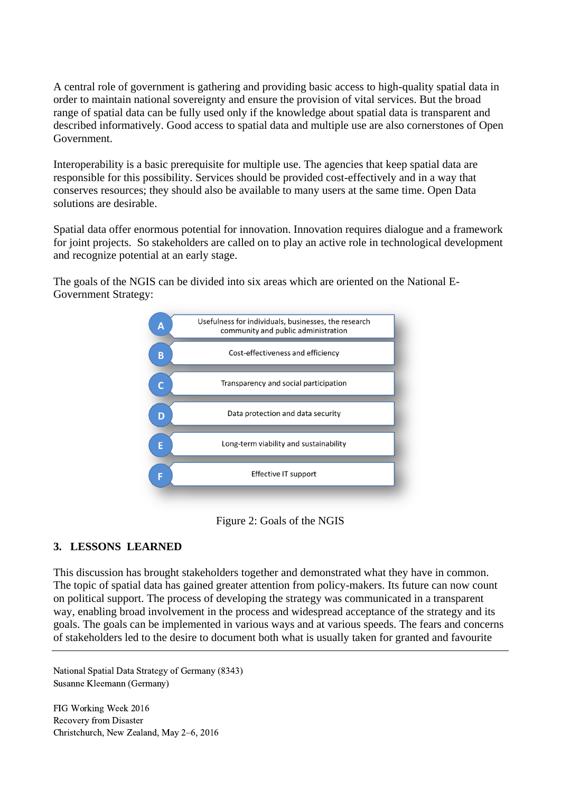A central role of government is gathering and providing basic access to high-quality spatial data in order to maintain national sovereignty and ensure the provision of vital services. But the broad range of spatial data can be fully used only if the knowledge about spatial data is transparent and described informatively. Good access to spatial data and multiple use are also cornerstones of Open Government.

Interoperability is a basic prerequisite for multiple use. The agencies that keep spatial data are responsible for this possibility. Services should be provided cost-effectively and in a way that conserves resources; they should also be available to many users at the same time. Open Data solutions are desirable.

Spatial data offer enormous potential for innovation. Innovation requires dialogue and a framework for joint projects. So stakeholders are called on to play an active role in technological development and recognize potential at an early stage.

The goals of the NGIS can be divided into six areas which are oriented on the National E-Government Strategy:



Figure 2: Goals of the NGIS

#### **3. LESSONS LEARNED**

This discussion has brought stakeholders together and demonstrated what they have in common. The topic of spatial data has gained greater attention from policy-makers. Its future can now count on political support. The process of developing the strategy was communicated in a transparent way, enabling broad involvement in the process and widespread acceptance of the strategy and its goals. The goals can be implemented in various ways and at various speeds. The fears and concerns of stakeholders led to the desire to document both what is usually taken for granted and favourite

National Spatial Data Strategy of Germany (8343) Susanne Kleemann (Germany)